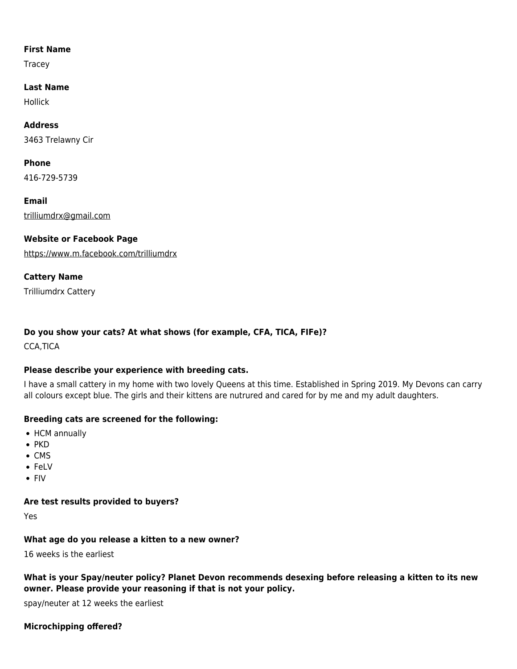#### **First Name**

Tracey

#### **Last Name**

Hollick

# **Address**

3463 Trelawny Cir

## **Phone**

416-729-5739

**Email** [trilliumdrx@gmail.com](mailto:trilliumdrx@gmail.com)

# **Website or Facebook Page**

<https://www.m.facebook.com/trilliumdrx>

## **Cattery Name**

Trilliumdrx Cattery

# **Do you show your cats? At what shows (for example, CFA, TICA, FIFe)?**

CCA,TICA

## **Please describe your experience with breeding cats.**

I have a small cattery in my home with two lovely Queens at this time. Established in Spring 2019. My Devons can carry all colours except blue. The girls and their kittens are nutrured and cared for by me and my adult daughters.

## **Breeding cats are screened for the following:**

- HCM annually
- $\bullet$  PKD
- $\bullet$  CMS
- FeLV
- FIV

## **Are test results provided to buyers?**

Yes

## **What age do you release a kitten to a new owner?**

16 weeks is the earliest

**What is your Spay/neuter policy? Planet Devon recommends desexing before releasing a kitten to its new owner. Please provide your reasoning if that is not your policy.**

spay/neuter at 12 weeks the earliest

## **Microchipping offered?**